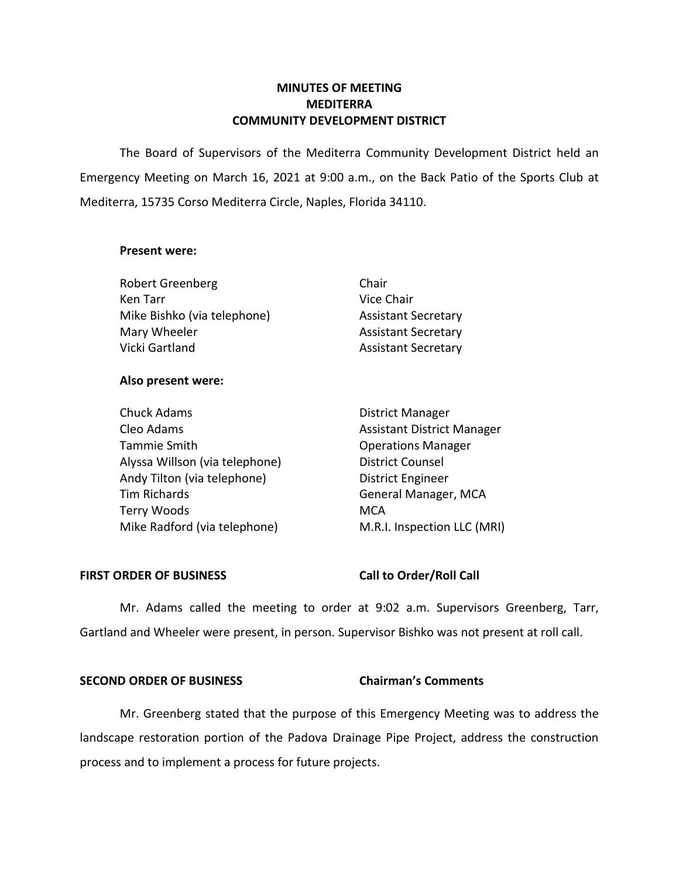# **COMMUNITY DEVELOPMENT DISTRICT MINUTES OF MEETING MEDITERRA**

 The Board of Supervisors of the Mediterra Community Development District held an Emergency Meeting on March 16, 2021 at 9:00 a.m., on the Back Patio of the Sports Club at Mediterra, 15735 Corso Mediterra Circle, Naples, Florida 34110.

## **Present were:**

| <b>Robert Greenberg</b>     | Chair                      |
|-----------------------------|----------------------------|
| Ken Tarr                    | Vice Chair                 |
| Mike Bishko (via telephone) | <b>Assistant Secretary</b> |
| Mary Wheeler                | <b>Assistant Secretary</b> |
| Vicki Gartland              | <b>Assistant Secretary</b> |

## **Also present were:**

| <b>Chuck Adams</b>             | <b>District Manager</b>           |
|--------------------------------|-----------------------------------|
| Cleo Adams                     | <b>Assistant District Manager</b> |
| Tammie Smith                   | <b>Operations Manager</b>         |
| Alyssa Willson (via telephone) | <b>District Counsel</b>           |
| Andy Tilton (via telephone)    | <b>District Engineer</b>          |
| <b>Tim Richards</b>            | General Manager, MCA              |
| Terry Woods                    | <b>MCA</b>                        |
| Mike Radford (via telephone)   | M.R.I. Inspection LLC (MRI)       |
|                                |                                   |

### **FIRST ORDER OF BUSINESS**

 **Call to Order/Roll Call** 

Mr. Adams called the meeting to order at 9:02 a.m. Supervisors Greenberg, Tarr, Gartland and Wheeler were present, in person. Supervisor Bishko was not present at roll call.

# **SECOND ORDER OF BUSINESS Chairman's Comments**

 Mr. Greenberg stated that the purpose of this Emergency Meeting was to address the landscape restoration portion of the Padova Drainage Pipe Project, address the construction process and to implement a process for future projects.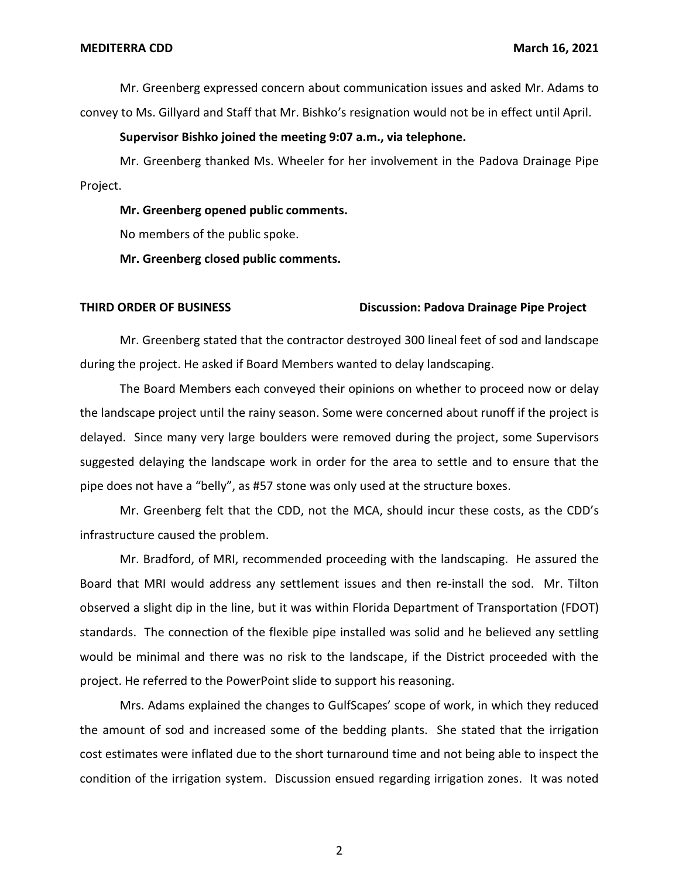Mr. Greenberg expressed concern about communication issues and asked Mr. Adams to convey to Ms. Gillyard and Staff that Mr. Bishko's resignation would not be in effect until April.

#### **Supervisor Bishko joined the meeting 9:07 a.m., via telephone.**

 Mr. Greenberg thanked Ms. Wheeler for her involvement in the Padova Drainage Pipe Project.

 **Mr. Greenberg opened public comments.** 

No members of the public spoke.

 **Mr. Greenberg closed public comments.** 

#### **THIRD ORDER OF BUSINESS** Discussion: Padova Drainage Pipe Project

 Mr. Greenberg stated that the contractor destroyed 300 lineal feet of sod and landscape during the project. He asked if Board Members wanted to delay landscaping.

 The Board Members each conveyed their opinions on whether to proceed now or delay the landscape project until the rainy season. Some were concerned about runoff if the project is delayed. Since many very large boulders were removed during the project, some Supervisors suggested delaying the landscape work in order for the area to settle and to ensure that the pipe does not have a "belly", as #57 stone was only used at the structure boxes.

 Mr. Greenberg felt that the CDD, not the MCA, should incur these costs, as the CDD's infrastructure caused the problem.

 Mr. Bradford, of MRI, recommended proceeding with the landscaping. He assured the Board that MRI would address any settlement issues and then re-install the sod. Mr. Tilton observed a slight dip in the line, but it was within Florida Department of Transportation (FDOT) standards. The connection of the flexible pipe installed was solid and he believed any settling would be minimal and there was no risk to the landscape, if the District proceeded with the project. He referred to the PowerPoint slide to support his reasoning.

 Mrs. Adams explained the changes to GulfScapes' scope of work, in which they reduced the amount of sod and increased some of the bedding plants. She stated that the irrigation cost estimates were inflated due to the short turnaround time and not being able to inspect the condition of the irrigation system. Discussion ensued regarding irrigation zones. It was noted

2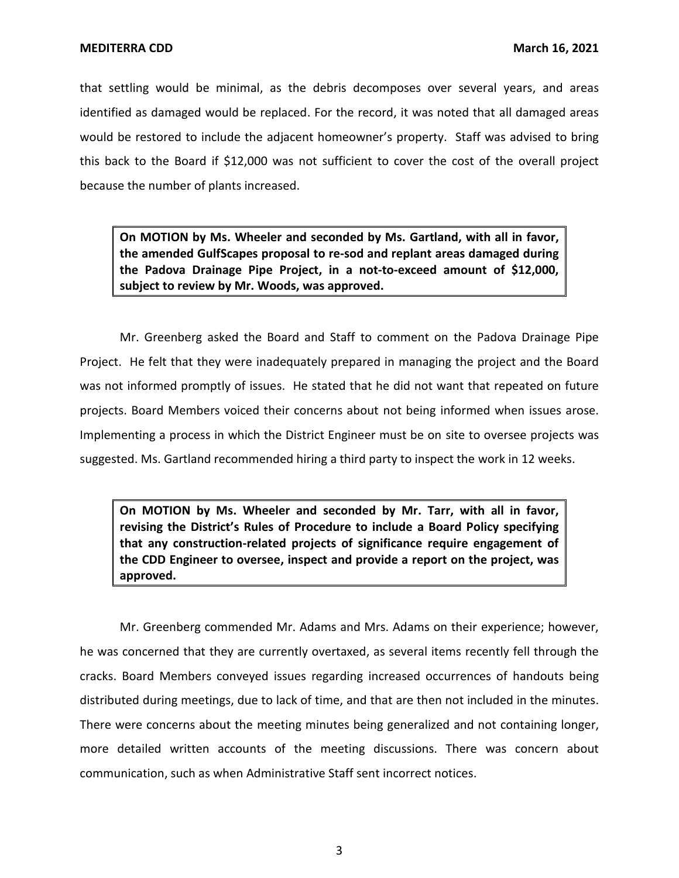that settling would be minimal, as the debris decomposes over several years, and areas identified as damaged would be replaced. For the record, it was noted that all damaged areas would be restored to include the adjacent homeowner's property. Staff was advised to bring this back to the Board if \$12,000 was not sufficient to cover the cost of the overall project because the number of plants increased.

 **On MOTION by Ms. Wheeler and seconded by Ms. Gartland, with all in favor, the amended GulfScapes proposal to re-sod and replant areas damaged during the Padova Drainage Pipe Project, in a not-to-exceed amount of \$12,000, subject to review by Mr. Woods, was approved.** 

 Mr. Greenberg asked the Board and Staff to comment on the Padova Drainage Pipe Project. He felt that they were inadequately prepared in managing the project and the Board was not informed promptly of issues. He stated that he did not want that repeated on future projects. Board Members voiced their concerns about not being informed when issues arose. Implementing a process in which the District Engineer must be on site to oversee projects was suggested. Ms. Gartland recommended hiring a third party to inspect the work in 12 weeks.

 **On MOTION by Ms. Wheeler and seconded by Mr. Tarr, with all in favor, revising the District's Rules of Procedure to include a Board Policy specifying the CDD Engineer to oversee, inspect and provide a report on the project, was that any construction-related projects of significance require engagement of approved.** 

 Mr. Greenberg commended Mr. Adams and Mrs. Adams on their experience; however, he was concerned that they are currently overtaxed, as several items recently fell through the cracks. Board Members conveyed issues regarding increased occurrences of handouts being distributed during meetings, due to lack of time, and that are then not included in the minutes. There were concerns about the meeting minutes being generalized and not containing longer, more detailed written accounts of the meeting discussions. There was concern about communication, such as when Administrative Staff sent incorrect notices.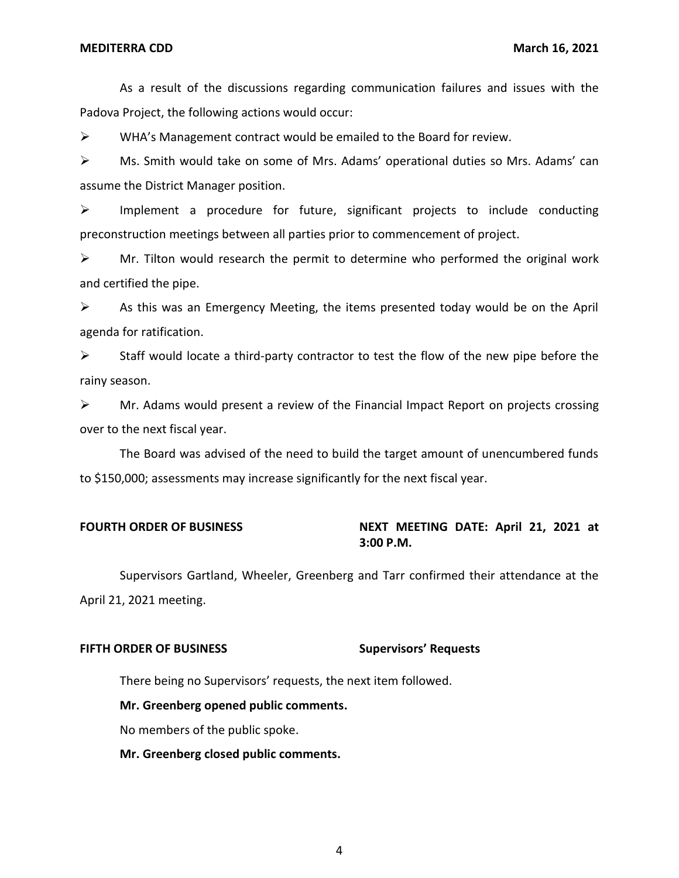#### **MEDITERRA CDD**

 As a result of the discussions regarding communication failures and issues with the Padova Project, the following actions would occur:

 $\triangleright$  WHA's Management contract would be emailed to the Board for review.

 Ms. Smith would take on some of Mrs. Adams' operational duties so Mrs. Adams' can assume the District Manager position.

 $\triangleright$  Implement a procedure for future, significant projects to include conducting preconstruction meetings between all parties prior to commencement of project.

 $\triangleright$  Mr. Tilton would research the permit to determine who performed the original work and certified the pipe.

 $\triangleright$  As this was an Emergency Meeting, the items presented today would be on the April agenda for ratification.

 $\triangleright$  Staff would locate a third-party contractor to test the flow of the new pipe before the rainy season.

 $\triangleright$  Mr. Adams would present a review of the Financial Impact Report on projects crossing over to the next fiscal year.

 The Board was advised of the need to build the target amount of unencumbered funds to \$150,000; assessments may increase significantly for the next fiscal year.

### **FOURTH ORDER OF BUSINESS**

# **3:00 P.M. NEXT MEETING DATE: April 21, 2021 at**

 Supervisors Gartland, Wheeler, Greenberg and Tarr confirmed their attendance at the April 21, 2021 meeting.

### **FIFTH ORDER OF BUSINESS Supervisors' Requests**

There being no Supervisors' requests, the next item followed.

#### **Mr. Greenberg opened public comments.**

No members of the public spoke.

### **Mr. Greenberg closed public comments.**

4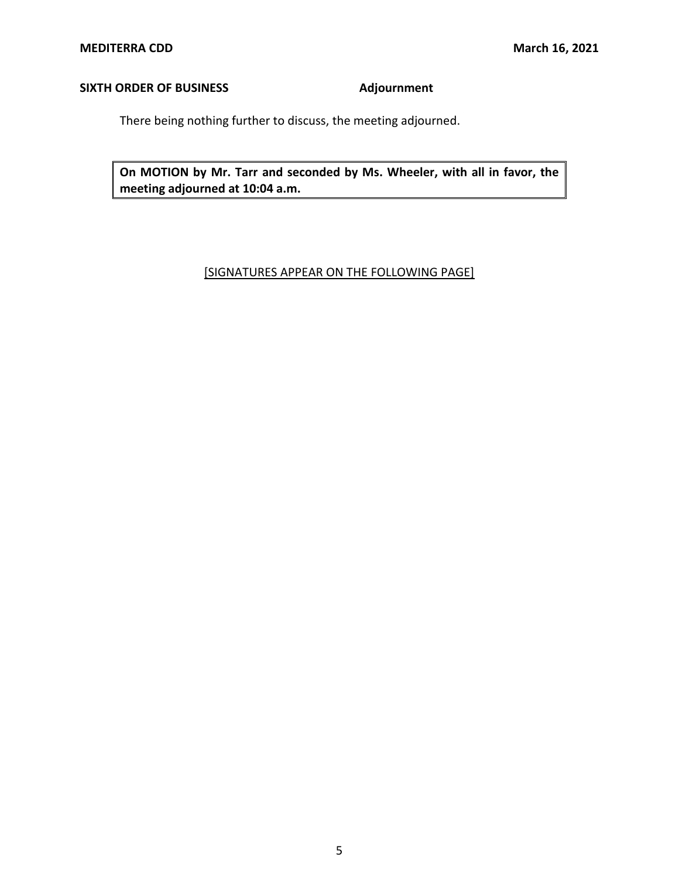# **SIXTH ORDER OF BUSINESS** Adjournment

There being nothing further to discuss, the meeting adjourned.

 **On MOTION by Mr. Tarr and seconded by Ms. Wheeler, with all in favor, the meeting adjourned at 10:04 a.m.** 

### [SIGNATURES APPEAR ON THE FOLLOWING PAGE]